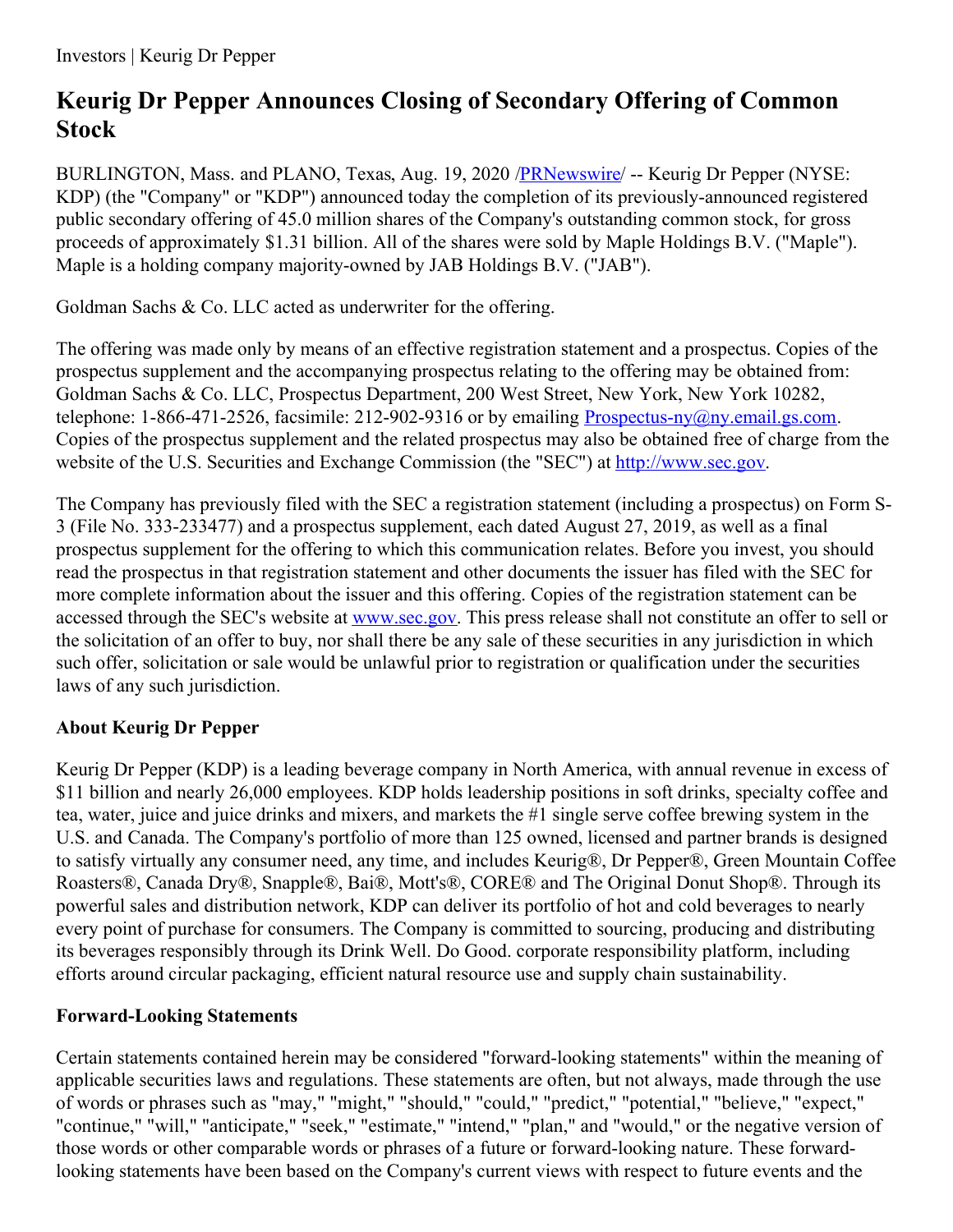# **Keurig Dr Pepper Announces Closing of Secondary Offering of Common Stock**

BURLINGTON, Mass. and PLANO, Texas, Aug. 19, 2020 [/PRNewswire](http://www.prnewswire.com/)/ -- Keurig Dr Pepper (NYSE: KDP) (the "Company" or "KDP") announced today the completion of its previously-announced registered public secondary offering of 45.0 million shares of the Company's outstanding common stock, for gross proceeds of approximately \$1.31 billion. All of the shares were sold by Maple Holdings B.V. ("Maple"). Maple is a holding company majority-owned by JAB Holdings B.V. ("JAB").

Goldman Sachs & Co. LLC acted as underwriter for the offering.

The offering was made only by means of an effective registration statement and a prospectus. Copies of the prospectus supplement and the accompanying prospectus relating to the offering may be obtained from: Goldman Sachs & Co. LLC, Prospectus Department, 200 West Street, New York, New York 10282, telephone: 1-866-471-2526, facsimile: 212-902-9316 or by emailing Prospectus-ny $(\partial_n)$  email.gs.com. Copies of the prospectus supplement and the related prospectus may also be obtained free of charge from the website of the U.S. Securities and Exchange Commission (the "SEC") at [http://www.sec.gov](https://c212.net/c/link/?t=0&l=en&o=2891363-1&h=4008868036&u=http%3A%2F%2Fwww.sec.gov%2F&a=http%3A%2F%2Fwww.sec.gov).

The Company has previously filed with the SEC a registration statement (including a prospectus) on Form S-3 (File No. 333-233477) and a prospectus supplement, each dated August 27, 2019, as well as a final prospectus supplement for the offering to which this communication relates. Before you invest, you should read the prospectus in that registration statement and other documents the issuer has filed with the SEC for more complete information about the issuer and this offering. Copies of the registration statement can be accessed through the SEC's website at [www.sec.gov](https://c212.net/c/link/?t=0&l=en&o=2891363-1&h=906203551&u=http%3A%2F%2Fwww.sec.gov%2F&a=www.sec.gov). This press release shall not constitute an offer to sell or the solicitation of an offer to buy, nor shall there be any sale of these securities in any jurisdiction in which such offer, solicitation or sale would be unlawful prior to registration or qualification under the securities laws of any such jurisdiction.

## **About Keurig Dr Pepper**

Keurig Dr Pepper (KDP) is a leading beverage company in North America, with annual revenue in excess of \$11 billion and nearly 26,000 employees. KDP holds leadership positions in soft drinks, specialty coffee and tea, water, juice and juice drinks and mixers, and markets the #1 single serve coffee brewing system in the U.S. and Canada. The Company's portfolio of more than 125 owned, licensed and partner brands is designed to satisfy virtually any consumer need, any time, and includes Keurig®, Dr Pepper®, Green Mountain Coffee Roasters®, Canada Dry®, Snapple®, Bai®, Mott's®, CORE® and The Original Donut Shop®. Through its powerful sales and distribution network, KDP can deliver its portfolio of hot and cold beverages to nearly every point of purchase for consumers. The Company is committed to sourcing, producing and distributing its beverages responsibly through its Drink Well. Do Good. corporate responsibility platform, including efforts around circular packaging, efficient natural resource use and supply chain sustainability.

### **Forward-Looking Statements**

Certain statements contained herein may be considered "forward-looking statements" within the meaning of applicable securities laws and regulations. These statements are often, but not always, made through the use of words or phrases such as "may," "might," "should," "could," "predict," "potential," "believe," "expect," "continue," "will," "anticipate," "seek," "estimate," "intend," "plan," and "would," or the negative version of those words or other comparable words or phrases of a future or forward-looking nature. These forwardlooking statements have been based on the Company's current views with respect to future events and the